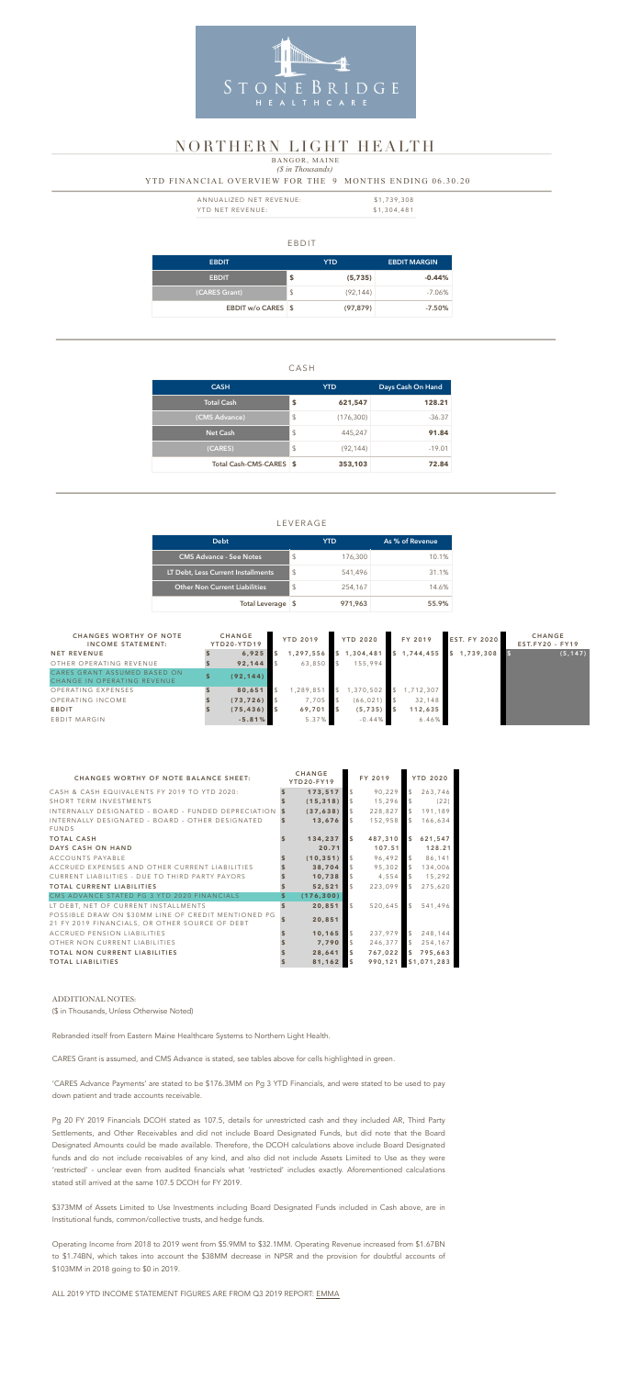#### EBDIT

| <b>EBDIT</b>       |               | YTD       | <b>EBDIT MARGIN</b> |
|--------------------|---------------|-----------|---------------------|
| <b>EBDIT</b>       | \$            | (5, 735)  | $-0.44%$            |
| (CARES Grant)      | $\frac{1}{2}$ | (92, 144) | $-7.06\%$           |
| EBDIT w/o CARES \$ |               | (97, 879) | $-7.50\%$           |

### CASH

| <b>CASH</b>             |                           | <b>YTD</b> | Days Cash On Hand |  |  |  |
|-------------------------|---------------------------|------------|-------------------|--|--|--|
| <b>Total Cash</b>       | \$                        | 621,547    | 128.21            |  |  |  |
| (CMS Advance)           | $\boldsymbol{\mathsf{S}}$ | (176, 300) | $-36.37$          |  |  |  |
| <b>Net Cash</b>         | \$                        | 445,247    | 91.84             |  |  |  |
| (CARES)                 | \$                        | (92, 144)  | $-19.01$          |  |  |  |
| Total Cash-CMS-CARES \$ |                           | 353,103    | 72.84             |  |  |  |

| ANNUALIZED NET REVENUE: | \$1,739,308 |
|-------------------------|-------------|
| YTD NET REVENUE:        | \$1,304,481 |

## LEVERAGE

### *(\$ in Thousands)* YTD FINANCIAL OVERVIEW FOR THE 9 MONTHS ENDING 06.30.20 BANGOR, MAINE

| <b>Debt</b>                          |               | YTD     | As % of Revenue |  |  |
|--------------------------------------|---------------|---------|-----------------|--|--|
| <b>CMS Advance - See Notes</b>       | \$            | 176,300 | 10.1%           |  |  |
| LT Debt, Less Current Installments   | $\mathcal{S}$ | 541,496 | 31.1%           |  |  |
| <b>Other Non Current Liabilities</b> | $\mathcal{S}$ | 254,167 | 14.6%           |  |  |
| Total Leverage \$                    |               | 971,963 | 55.9%           |  |  |



# NORTHERN LIGHT HEALTH

| <b>CHANGES WORTHY OF NOTE</b><br><b>INCOME STATEMENT:</b>   | <b>CHANGE</b><br>YTD20-YTD19 | <b>YTD 2019</b> |                         | <b>YTD 2020</b> |  | FY 2019   |  | <b>EST. FY 2020</b> | <b>CHANGE</b><br>$EST.FY20 - FY19$ |
|-------------------------------------------------------------|------------------------------|-----------------|-------------------------|-----------------|--|-----------|--|---------------------|------------------------------------|
| <b>NET REVENUE</b>                                          | 6,925                        | 1,297,556       | $\mathsf{\overline{S}}$ | 1,304,481       |  | 1,744,455 |  | 1,739,308           | (5, 147)                           |
| OTHER OPERATING REVENUE                                     | 92,144                       | 63,850          |                         | 155,994         |  |           |  |                     |                                    |
| CARES GRANT ASSUMED BASED ON<br>CHANGE IN OPERATING REVENUE | (92, 144)                    |                 |                         |                 |  |           |  |                     |                                    |
| OPERATING EXPENSES                                          | 80,651                       | ,289,851        |                         | ,370,502        |  | 1,712,307 |  |                     |                                    |
| OPERATING INCOME                                            | (73, 726)                    | 7,705           |                         | (66, 021)       |  | 32,148    |  |                     |                                    |
| <b>EBDIT</b>                                                | (75, 436)                    | 69,701          |                         | (5, 735)        |  | 112,635   |  |                     |                                    |
| EBDIT MARGIN                                                | $-5.81%$                     | 5.37%           |                         | $-0.44%$        |  | 6.46%     |  |                     |                                    |

| <b>CHANGES WORTHY OF NOTE BALANCE SHEET:</b>                                                          |                     | <b>CHANGE</b><br><b>YTD20-FY19</b> |                | FY 2019 |               | <b>YTD 2020</b> |
|-------------------------------------------------------------------------------------------------------|---------------------|------------------------------------|----------------|---------|---------------|-----------------|
| CASH & CASH EQUIVALENTS FY 2019 TO YTD 2020:                                                          |                     | 173,517                            | $\mathcal{S}$  | 90,229  | $\mathcal{L}$ | 263,746         |
| SHORT TERM INVESTMENTS                                                                                |                     | (15, 318)                          | $\mathcal{L}$  | 15,296  | $\mathcal{L}$ | (22)            |
| INTERNALLY DESIGNATED - BOARD - FUNDED DEPRECIATION                                                   |                     | (37, 638)                          | $\mathcal{L}$  | 228,827 | $\mathcal{L}$ | 191,189         |
| INTERNALLY DESIGNATED - BOARD - OTHER DESIGNATED<br><b>FUNDS</b>                                      |                     | 13,676                             | $\mathfrak{L}$ | 152,958 | $\mathbb{S}$  | 166,634         |
| <b>TOTAL CASH</b>                                                                                     |                     | 134,237                            | $\sqrt{5}$     | 487,310 | $\mathbf{s}$  | 621,547         |
| DAYS CASH ON HAND                                                                                     |                     | 20.71                              |                | 107.51  |               | 128.21          |
| ACCOUNTS PAYABLE                                                                                      |                     | (10, 351)                          | $\mathcal{S}$  | 96,492  | $\mathcal{L}$ | 86,141          |
| ACCRUED EXPENSES AND OTHER CURRENT LIABILITIES                                                        |                     | 38,704                             | $\mathcal{L}$  | 95,302  | $\sqrt{2}$    | 134,006         |
| CURRENT LIABILITIES - DUE TO THIRD PARTY PAYORS                                                       |                     | 10,738                             | $\mathcal{L}$  | 4,554   | $\mathcal{F}$ | 15,292          |
| <b>TOTAL CURRENT LIABILITIES</b>                                                                      |                     | 52,521                             | $\mathcal{L}$  | 223,099 | $\mathcal{L}$ | 275,620         |
| CMS ADVANCE STATED PG 3 YTD 2020 FINANCIALS                                                           | \$                  | (176, 300)                         |                |         |               |                 |
| LT DEBT, NET OF CURRENT INSTALLMENTS                                                                  | $\ddot{\mathbf{s}}$ | 20,851                             | $\mathcal{L}$  | 520,645 | $\mathcal{L}$ | 541,496         |
| POSSIBLE DRAW ON \$30MM LINE OF CREDIT MENTIONED PG<br>21 FY 2019 FINANCIALS, OR OTHER SOURCE OF DEBT |                     | 20,851                             |                |         |               |                 |
| ACCRUED PENSION LIABILITIES                                                                           |                     | 10,165                             | $\mathfrak{L}$ | 237,979 | $\mathcal{L}$ | 248,144         |
| OTHER NON CURRENT LIABILITIES                                                                         |                     | 7,790                              | $\mathcal{L}$  | 246,377 | $\mathcal{L}$ | 254,167         |
| <b>TOTAL NON CURRENT LIABILITIES</b>                                                                  |                     | 28,641                             | $\sqrt{5}$     | 767,022 | $\mathsf{\$}$ | 795,663         |
| <b>TOTAL LIABILITIES</b>                                                                              |                     | 81,162                             | $\sqrt{5}$     | 990,121 |               | \$1,071,283     |

#### ADDITIONAL NOTES:

(\$ in Thousands, Unless Otherwise Noted)

Rebranded itself from Eastern Maine Healthcare Systems to Northern Light Health.

CARES Grant is assumed, and CMS Advance is stated, see tables above for cells highlighted in green.

'CARES Advance Payments' are stated to be \$176.3MM on Pg 3 YTD Financials, and were stated to be used to pay down patient and trade accounts receivable.

Pg 20 FY 2019 Financials DCOH stated as 107.5, details for unrestricted cash and they included AR, Third Party Settlements, and Other Receivables and did not include Board Designated Funds, but did note that the Board Designated Amounts could be made available. Therefore, the DCOH calculations above include Board Designated funds and do not include receivables of any kind, and also did not include Assets Limited to Use as they were 'restricted' - unclear even from audited financials what 'restricted' includes exactly. Aforementioned calculations stated still arrived at the same 107.5 DCOH for FY 2019.

\$373MM of Assets Limited to Use Investments including Board Designated Funds included in Cash above, are in Institutional funds, common/collective trusts, and hedge funds.

Operating Income from 2018 to 2019 went from \$5.9MM to \$32.1MM. Operating Revenue increased from \$1.67BN to \$1.74BN, which takes into account the \$38MM decrease in NPSR and the provision for doubtful accounts of \$103MM in 2018 going to \$0 in 2019.

ALL 2019 YTD INCOME STATEMENT FIGURES ARE FROM Q3 2019 REPORT: [EMMA](https://emma.msrb.org/ER1279265-ES1015033-ES1416374.pdf)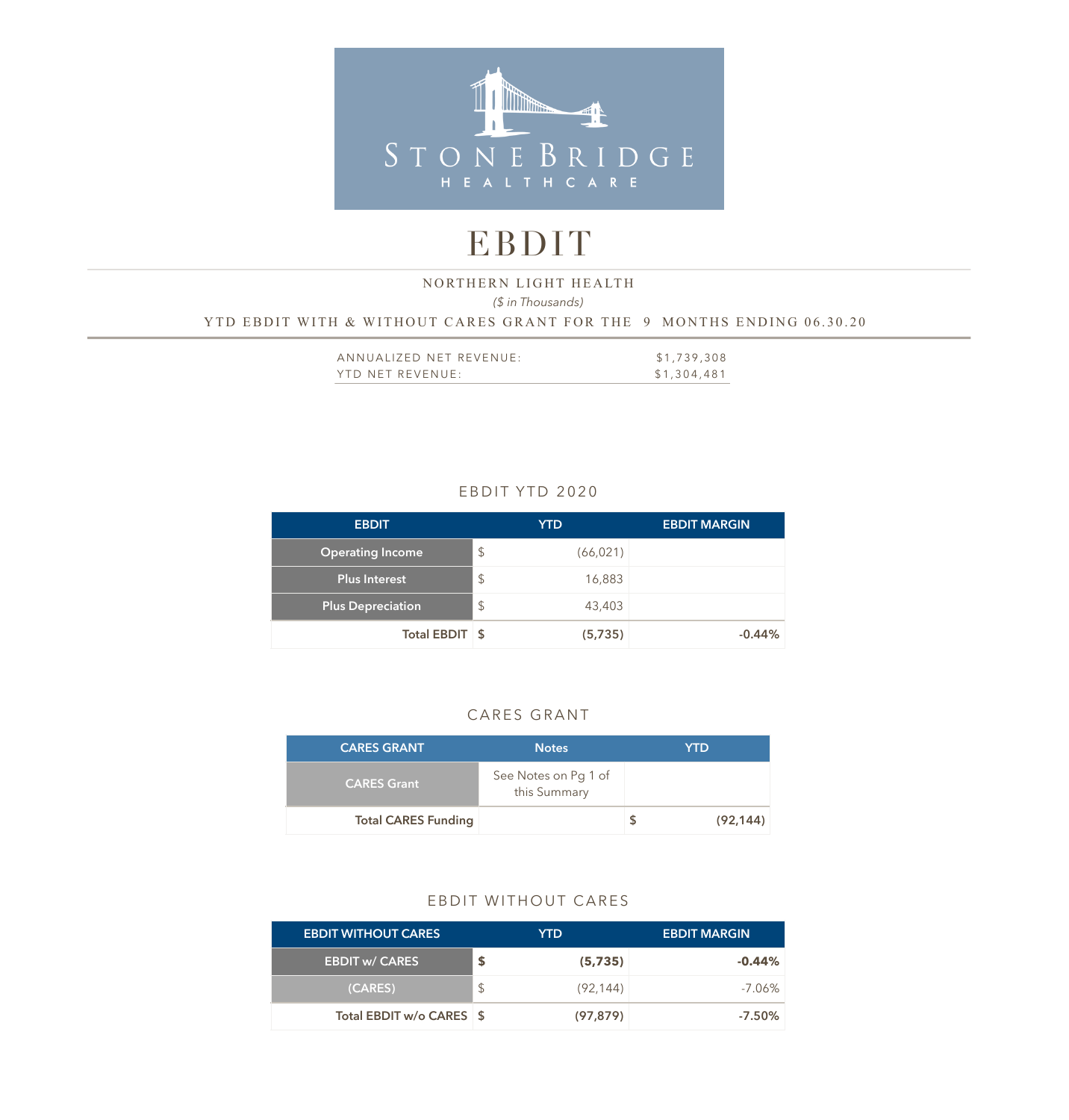

# EBDIT

## *(\$ in Thousands)*  YTD EBDIT WITH & WITHOUT CARES GRANT FOR THE 9 MONTHS ENDING 06.30.20 NORTHERN LIGHT HEALTH

| ANNUALIZED NET REVENUE: | \$1,739,308 |
|-------------------------|-------------|
| YTD NET REVENUE:        | \$1,304,481 |

# EBDIT YTD 2020

| <b>EBDIT</b>             |               | <b>YTD</b> | <b>EBDIT MARGIN</b> |
|--------------------------|---------------|------------|---------------------|
| <b>Operating Income</b>  | $\mathcal{L}$ | (66, 021)  |                     |
| Plus Interest            | $\mathcal{S}$ | 16,883     |                     |
| <b>Plus Depreciation</b> | $\mathcal{L}$ | 43,403     |                     |
| Total EBDIT   \$         |               | (5,735)    | $-0.44%$            |

# CARES GRANT

| <b>CARES GRANT</b>         | <b>Notes</b>                         | YTD       |
|----------------------------|--------------------------------------|-----------|
| <b>CARES Grant</b>         | See Notes on Pg 1 of<br>this Summary |           |
| <b>Total CARES Funding</b> |                                      | (92, 144) |

### EBDIT WITHOUT CARES

| <b>EBDIT WITHOUT CARES</b> |               | YTD.      | <b>EBDIT MARGIN</b> |
|----------------------------|---------------|-----------|---------------------|
| <b>EBDIT w/ CARES</b>      |               | (5, 735)  | $-0.44\%$           |
| (CARES)                    | <sup>\$</sup> | (92, 144) | $-7.06\%$           |
| Total EBDIT w/o CARES \ \$ |               | (97, 879) | $-7.50\%$           |